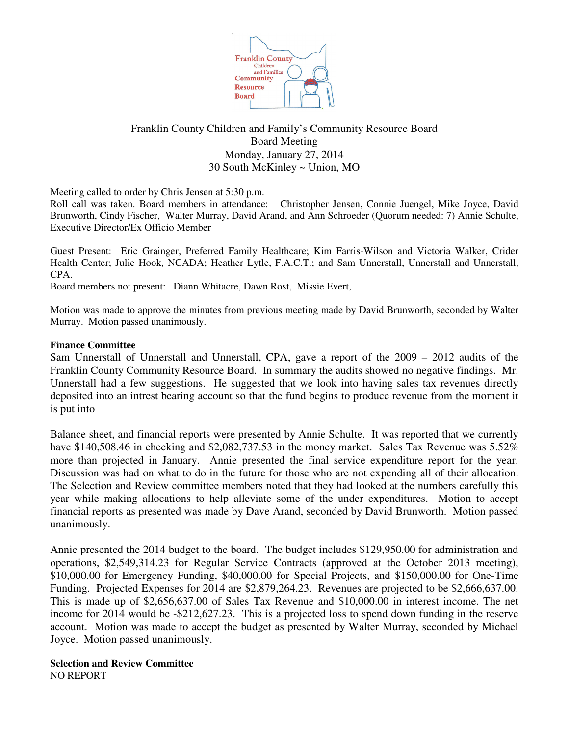

# Franklin County Children and Family's Community Resource Board Board Meeting Monday, January 27, 2014 30 South McKinley ~ Union, MO

Meeting called to order by Chris Jensen at 5:30 p.m.

Roll call was taken. Board members in attendance: Christopher Jensen, Connie Juengel, Mike Joyce, David Brunworth, Cindy Fischer, Walter Murray, David Arand, and Ann Schroeder (Quorum needed: 7) Annie Schulte, Executive Director/Ex Officio Member

Guest Present: Eric Grainger, Preferred Family Healthcare; Kim Farris-Wilson and Victoria Walker, Crider Health Center; Julie Hook, NCADA; Heather Lytle, F.A.C.T.; and Sam Unnerstall, Unnerstall and Unnerstall, CPA.

Board members not present: Diann Whitacre, Dawn Rost, Missie Evert,

Motion was made to approve the minutes from previous meeting made by David Brunworth, seconded by Walter Murray. Motion passed unanimously.

# **Finance Committee**

Sam Unnerstall of Unnerstall and Unnerstall, CPA, gave a report of the 2009 – 2012 audits of the Franklin County Community Resource Board. In summary the audits showed no negative findings. Mr. Unnerstall had a few suggestions. He suggested that we look into having sales tax revenues directly deposited into an intrest bearing account so that the fund begins to produce revenue from the moment it is put into

Balance sheet, and financial reports were presented by Annie Schulte. It was reported that we currently have \$140,508.46 in checking and \$2,082,737.53 in the money market. Sales Tax Revenue was 5.52% more than projected in January. Annie presented the final service expenditure report for the year. Discussion was had on what to do in the future for those who are not expending all of their allocation. The Selection and Review committee members noted that they had looked at the numbers carefully this year while making allocations to help alleviate some of the under expenditures. Motion to accept financial reports as presented was made by Dave Arand, seconded by David Brunworth. Motion passed unanimously.

Annie presented the 2014 budget to the board. The budget includes \$129,950.00 for administration and operations, \$2,549,314.23 for Regular Service Contracts (approved at the October 2013 meeting), \$10,000.00 for Emergency Funding, \$40,000.00 for Special Projects, and \$150,000.00 for One-Time Funding. Projected Expenses for 2014 are \$2,879,264.23. Revenues are projected to be \$2,666,637.00. This is made up of \$2,656,637.00 of Sales Tax Revenue and \$10,000.00 in interest income. The net income for 2014 would be -\$212,627.23. This is a projected loss to spend down funding in the reserve account. Motion was made to accept the budget as presented by Walter Murray, seconded by Michael Joyce. Motion passed unanimously.

**Selection and Review Committee** NO REPORT